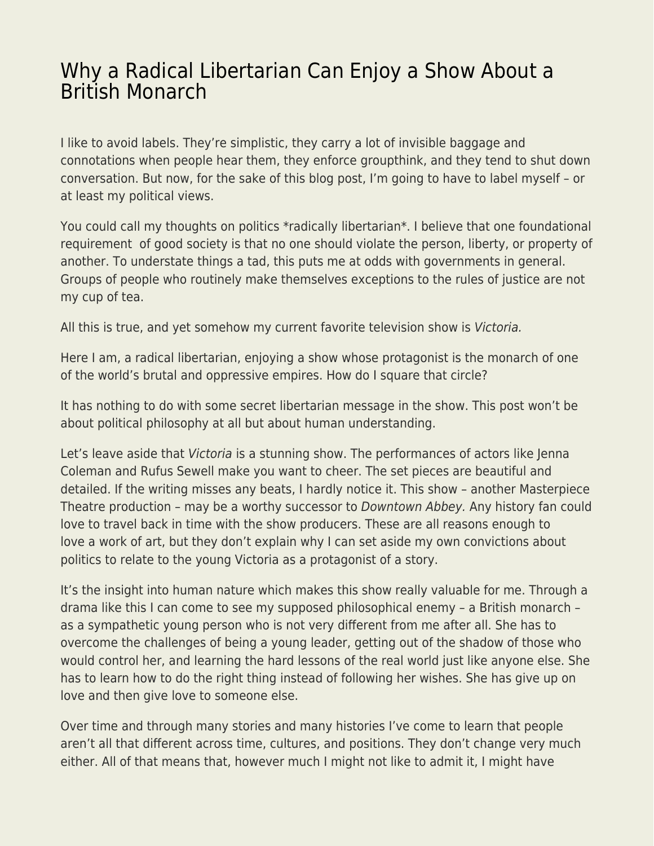## [Why a Radical Libertarian Can Enjoy a Show About a](https://everything-voluntary.com/radical-libertarian-can-enjoy-show-british-monarch) [British Monarch](https://everything-voluntary.com/radical-libertarian-can-enjoy-show-british-monarch)

I like to avoid labels. They're simplistic, they carry a lot of invisible baggage and connotations when people hear them, they enforce groupthink, and they tend to shut down conversation. But now, for the sake of this blog post, I'm going to have to label myself – or at least my political views.

You could call my thoughts on politics \*radically libertarian\*. I believe that one foundational requirement of good society is that no one should violate the person, liberty, or property of another. To understate things a tad, this puts me at odds with governments in general. Groups of people who routinely make themselves exceptions to the rules of justice are not my cup of tea.

All this is true, and yet somehow my current favorite television show is Victoria.

Here I am, a radical libertarian, enjoying a show whose protagonist is the monarch of one of the world's brutal and oppressive empires. How do I square that circle?

It has nothing to do with some secret libertarian message in the show. This post won't be about political philosophy at all but about human understanding.

Let's leave aside that Victoria is a stunning show. The performances of actors like Jenna Coleman and Rufus Sewell make you want to cheer. The set pieces are beautiful and detailed. If the writing misses any beats, I hardly notice it. This show – another Masterpiece Theatre production – may be a worthy successor to Downtown Abbey. Any history fan could love to travel back in time with the show producers. These are all reasons enough to love a work of art, but they don't explain why I can set aside my own convictions about politics to relate to the young Victoria as a protagonist of a story.

It's the insight into human nature which makes this show really valuable for me. Through a drama like this I can come to see my supposed philosophical enemy – a British monarch – as a sympathetic young person who is not very different from me after all. She has to overcome the challenges of being a young leader, getting out of the shadow of those who would control her, and learning the hard lessons of the real world just like anyone else. She has to learn how to do the right thing instead of following her wishes. She has give up on love and then give love to someone else.

Over time and through many stories and many histories I've come to learn that people aren't all that different across time, cultures, and positions. They don't change very much either. All of that means that, however much I might not like to admit it, I might have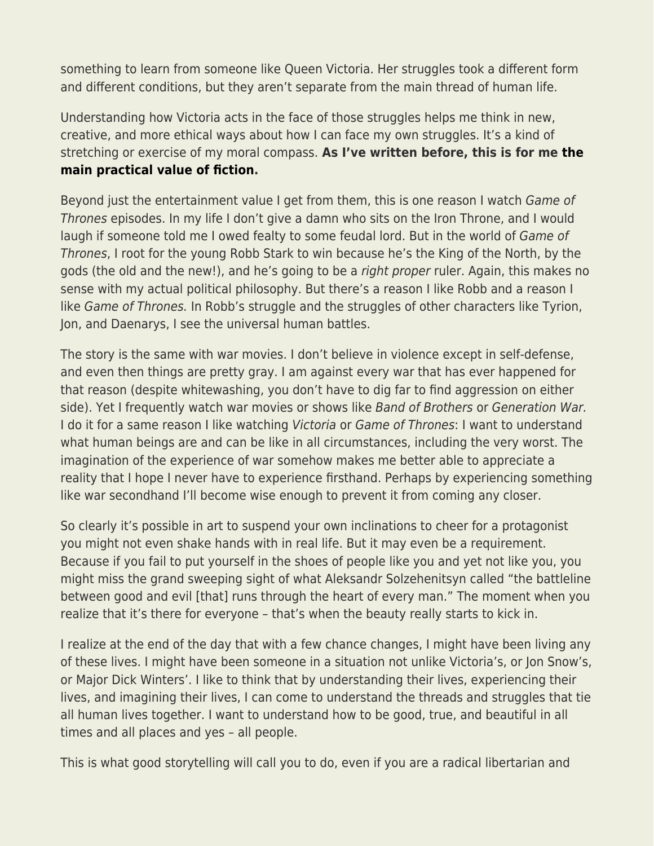something to learn from someone like Queen Victoria. Her struggles took a different form and different conditions, but they aren't separate from the main thread of human life.

Understanding how Victoria acts in the face of those struggles helps me think in new, creative, and more ethical ways about how I can face my own struggles. It's a kind of stretching or exercise of my moral compass. **As I've written before, this is for me [the](https://www.jameswalpole.com/practical-fiction/) [main practical value of fiction](https://www.jameswalpole.com/practical-fiction/).** 

Beyond just the entertainment value I get from them, this is one reason I watch Game of Thrones episodes. In my life I don't give a damn who sits on the Iron Throne, and I would laugh if someone told me I owed fealty to some feudal lord. But in the world of Game of Thrones, I root for the young Robb Stark to win because he's the King of the North, by the gods (the old and the new!), and he's going to be a right proper ruler. Again, this makes no sense with my actual political philosophy. But there's a reason I like Robb and a reason I like Game of Thrones. In Robb's struggle and the struggles of other characters like Tyrion, Jon, and Daenarys, I see the universal human battles.

The story is the same with war movies. I don't believe in violence except in self-defense, and even then things are pretty gray. I am against every war that has ever happened for that reason (despite whitewashing, you don't have to dig far to find aggression on either side). Yet I frequently watch war movies or shows like Band of Brothers or Generation War. I do it for a same reason I like watching Victoria or Game of Thrones: I want to understand what human beings are and can be like in all circumstances, including the very worst. The imagination of the experience of war somehow makes me better able to appreciate a reality that I hope I never have to experience firsthand. Perhaps by experiencing something like war secondhand I'll become wise enough to prevent it from coming any closer.

So clearly it's possible in art to suspend your own inclinations to cheer for a protagonist you might not even shake hands with in real life. But it may even be a requirement. Because if you fail to put yourself in the shoes of people like you and yet not like you, you might miss the grand sweeping sight of what Aleksandr Solzehenitsyn called "the battleline between good and evil [that] runs through the heart of every man." The moment when you realize that it's there for everyone – that's when the beauty really starts to kick in.

I realize at the end of the day that with a few chance changes, I might have been living any of these lives. I might have been someone in a situation not unlike Victoria's, or Jon Snow's, or Major Dick Winters'. I like to think that by understanding their lives, experiencing their lives, and imagining their lives, I can come to understand the threads and struggles that tie all human lives together. I want to understand how to be good, true, and beautiful in all times and all places and yes – all people.

This is what good storytelling will call you to do, even if you are a radical libertarian and